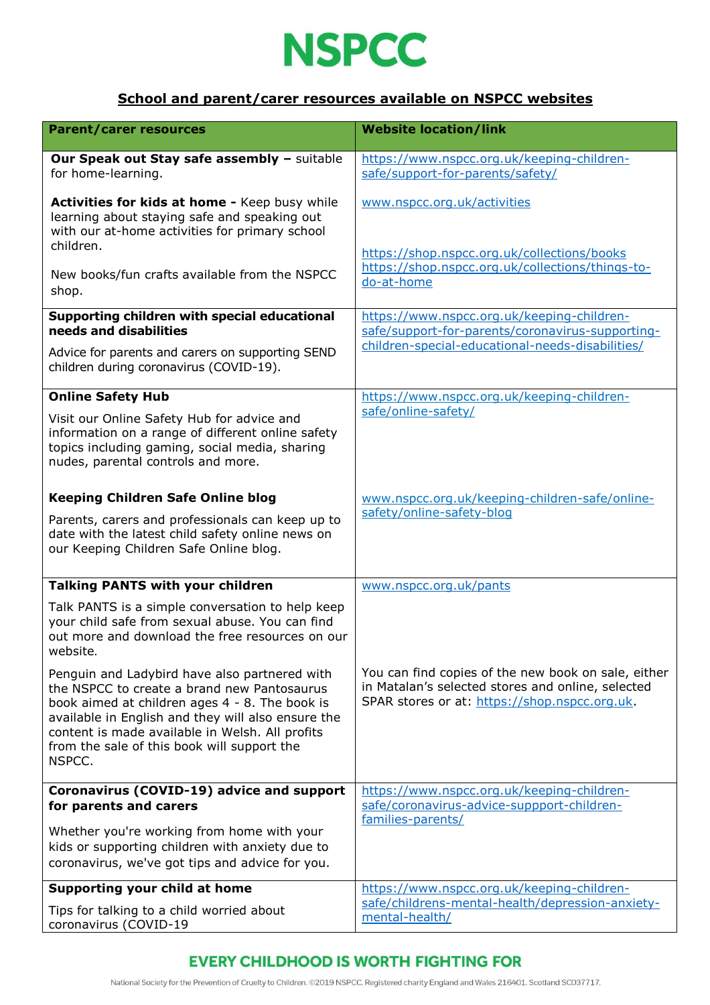

### **School and parent/carer resources available on NSPCC websites**

| <b>Parent/carer resources</b>                                                                                                                                                                                                                                                                                    | <b>Website location/link</b>                                                                                                                              |
|------------------------------------------------------------------------------------------------------------------------------------------------------------------------------------------------------------------------------------------------------------------------------------------------------------------|-----------------------------------------------------------------------------------------------------------------------------------------------------------|
| Our Speak out Stay safe assembly - suitable<br>for home-learning.                                                                                                                                                                                                                                                | https://www.nspcc.org.uk/keeping-children-<br>safe/support-for-parents/safety/                                                                            |
| Activities for kids at home - Keep busy while<br>learning about staying safe and speaking out<br>with our at-home activities for primary school<br>children.                                                                                                                                                     | www.nspcc.org.uk/activities<br>https://shop.nspcc.org.uk/collections/books                                                                                |
| New books/fun crafts available from the NSPCC<br>shop.                                                                                                                                                                                                                                                           | https://shop.nspcc.org.uk/collections/things-to-<br>do-at-home                                                                                            |
| Supporting children with special educational<br>needs and disabilities                                                                                                                                                                                                                                           | https://www.nspcc.org.uk/keeping-children-<br>safe/support-for-parents/coronavirus-supporting-                                                            |
| Advice for parents and carers on supporting SEND<br>children during coronavirus (COVID-19).                                                                                                                                                                                                                      | children-special-educational-needs-disabilities/                                                                                                          |
| <b>Online Safety Hub</b>                                                                                                                                                                                                                                                                                         | https://www.nspcc.org.uk/keeping-children-                                                                                                                |
| Visit our Online Safety Hub for advice and<br>information on a range of different online safety<br>topics including gaming, social media, sharing<br>nudes, parental controls and more.                                                                                                                          | safe/online-safety/                                                                                                                                       |
| <b>Keeping Children Safe Online blog</b>                                                                                                                                                                                                                                                                         | www.nspcc.org.uk/keeping-children-safe/online-                                                                                                            |
| Parents, carers and professionals can keep up to<br>date with the latest child safety online news on<br>our Keeping Children Safe Online blog.                                                                                                                                                                   | safety/online-safety-bloq                                                                                                                                 |
| <b>Talking PANTS with your children</b>                                                                                                                                                                                                                                                                          | www.nspcc.org.uk/pants                                                                                                                                    |
| Talk PANTS is a simple conversation to help keep<br>your child safe from sexual abuse. You can find<br>out more and download the free resources on our<br>website.                                                                                                                                               |                                                                                                                                                           |
| Penguin and Ladybird have also partnered with<br>the NSPCC to create a brand new Pantosaurus<br>book aimed at children ages 4 - 8. The book is<br>available in English and they will also ensure the<br>content is made available in Welsh. All profits<br>from the sale of this book will support the<br>NSPCC. | You can find copies of the new book on sale, either<br>in Matalan's selected stores and online, selected<br>SPAR stores or at: https://shop.nspcc.org.uk. |
| Coronavirus (COVID-19) advice and support                                                                                                                                                                                                                                                                        | https://www.nspcc.org.uk/keeping-children-                                                                                                                |
| for parents and carers<br>Whether you're working from home with your<br>kids or supporting children with anxiety due to<br>coronavirus, we've got tips and advice for you.                                                                                                                                       | safe/coronavirus-advice-suppport-children-<br>families-parents/                                                                                           |
| Supporting your child at home                                                                                                                                                                                                                                                                                    | https://www.nspcc.org.uk/keeping-children-                                                                                                                |
| Tips for talking to a child worried about<br>coronavirus (COVID-19                                                                                                                                                                                                                                               | safe/childrens-mental-health/depression-anxiety-<br>mental-health/                                                                                        |

## **EVERY CHILDHOOD IS WORTH FIGHTING FOR**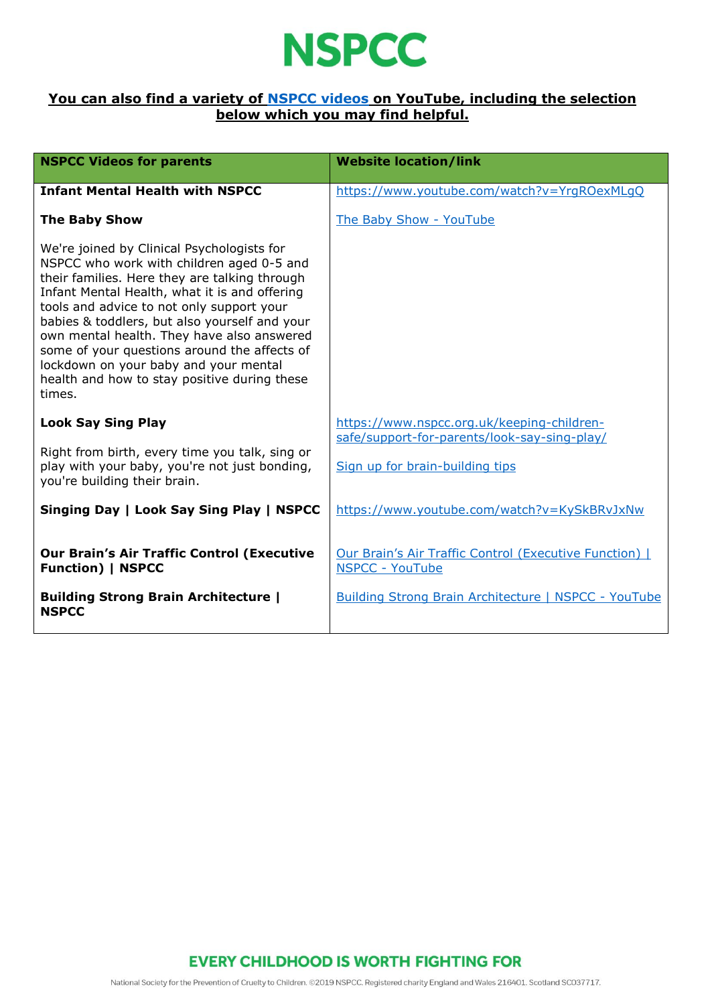

### **You can also find a variety of [NSPCC videos](https://www.youtube.com/user/nspcc) on YouTube, including the selection below which you may find helpful.**

| <b>NSPCC Videos for parents</b>                                                                                                                                                                                                                                                                                                                                                                                                                                                          | <b>Website location/link</b>                                                               |
|------------------------------------------------------------------------------------------------------------------------------------------------------------------------------------------------------------------------------------------------------------------------------------------------------------------------------------------------------------------------------------------------------------------------------------------------------------------------------------------|--------------------------------------------------------------------------------------------|
| <b>Infant Mental Health with NSPCC</b>                                                                                                                                                                                                                                                                                                                                                                                                                                                   | https://www.youtube.com/watch?v=YrgROexMLgQ                                                |
| <b>The Baby Show</b>                                                                                                                                                                                                                                                                                                                                                                                                                                                                     | The Baby Show - YouTube                                                                    |
| We're joined by Clinical Psychologists for<br>NSPCC who work with children aged 0-5 and<br>their families. Here they are talking through<br>Infant Mental Health, what it is and offering<br>tools and advice to not only support your<br>babies & toddlers, but also yourself and your<br>own mental health. They have also answered<br>some of your questions around the affects of<br>lockdown on your baby and your mental<br>health and how to stay positive during these<br>times. |                                                                                            |
| <b>Look Say Sing Play</b>                                                                                                                                                                                                                                                                                                                                                                                                                                                                | https://www.nspcc.org.uk/keeping-children-<br>safe/support-for-parents/look-say-sing-play/ |
| Right from birth, every time you talk, sing or<br>play with your baby, you're not just bonding,<br>you're building their brain.                                                                                                                                                                                                                                                                                                                                                          | Sign up for brain-building tips                                                            |
| Singing Day   Look Say Sing Play   NSPCC                                                                                                                                                                                                                                                                                                                                                                                                                                                 | https://www.youtube.com/watch?v=KySkBRvJxNw                                                |
| <b>Our Brain's Air Traffic Control (Executive</b><br><b>Function)   NSPCC</b>                                                                                                                                                                                                                                                                                                                                                                                                            | <b>Our Brain's Air Traffic Control (Executive Function)  </b><br><b>NSPCC - YouTube</b>    |
| <b>Building Strong Brain Architecture  </b><br><b>NSPCC</b>                                                                                                                                                                                                                                                                                                                                                                                                                              | Building Strong Brain Architecture   NSPCC - YouTube                                       |

**EVERY CHILDHOOD IS WORTH FIGHTING FOR**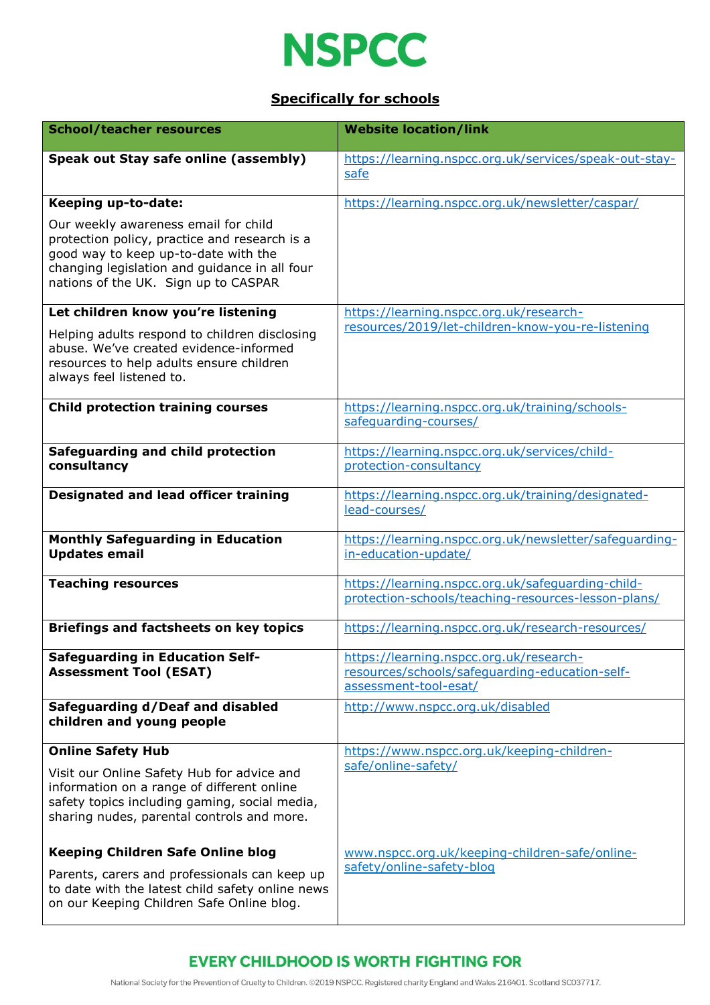

### **Specifically for schools**

| <b>School/teacher resources</b>                                                                                                                                                                                        | <b>Website location/link</b>                                                                                       |
|------------------------------------------------------------------------------------------------------------------------------------------------------------------------------------------------------------------------|--------------------------------------------------------------------------------------------------------------------|
| Speak out Stay safe online (assembly)                                                                                                                                                                                  | https://learning.nspcc.org.uk/services/speak-out-stay-<br>safe                                                     |
| Keeping up-to-date:                                                                                                                                                                                                    | https://learning.nspcc.org.uk/newsletter/caspar/                                                                   |
| Our weekly awareness email for child<br>protection policy, practice and research is a<br>good way to keep up-to-date with the<br>changing legislation and guidance in all four<br>nations of the UK. Sign up to CASPAR |                                                                                                                    |
| Let children know you're listening                                                                                                                                                                                     | https://learning.nspcc.org.uk/research-                                                                            |
| Helping adults respond to children disclosing<br>abuse. We've created evidence-informed<br>resources to help adults ensure children<br>always feel listened to.                                                        | resources/2019/let-children-know-you-re-listening                                                                  |
| <b>Child protection training courses</b>                                                                                                                                                                               | https://learning.nspcc.org.uk/training/schools-<br>safequarding-courses/                                           |
| Safeguarding and child protection<br>consultancy                                                                                                                                                                       | https://learning.nspcc.org.uk/services/child-<br>protection-consultancy                                            |
| <b>Designated and lead officer training</b>                                                                                                                                                                            | https://learning.nspcc.org.uk/training/designated-<br>lead-courses/                                                |
| <b>Monthly Safeguarding in Education</b><br><b>Updates email</b>                                                                                                                                                       | https://learning.nspcc.org.uk/newsletter/safequarding-<br>in-education-update/                                     |
| <b>Teaching resources</b>                                                                                                                                                                                              | https://learning.nspcc.org.uk/safequarding-child-<br>protection-schools/teaching-resources-lesson-plans/           |
| <b>Briefings and factsheets on key topics</b>                                                                                                                                                                          | https://learning.nspcc.org.uk/research-resources/                                                                  |
| <b>Safeguarding in Education Self-</b><br><b>Assessment Tool (ESAT)</b>                                                                                                                                                | https://learning.nspcc.org.uk/research-<br>resources/schools/safequarding-education-self-<br>assessment-tool-esat/ |
| Safeguarding d/Deaf and disabled<br>children and young people                                                                                                                                                          | http://www.nspcc.org.uk/disabled                                                                                   |
| <b>Online Safety Hub</b>                                                                                                                                                                                               | https://www.nspcc.org.uk/keeping-children-                                                                         |
| Visit our Online Safety Hub for advice and<br>information on a range of different online<br>safety topics including gaming, social media,<br>sharing nudes, parental controls and more.                                | safe/online-safety/                                                                                                |
| <b>Keeping Children Safe Online blog</b>                                                                                                                                                                               | www.nspcc.org.uk/keeping-children-safe/online-                                                                     |
| Parents, carers and professionals can keep up<br>to date with the latest child safety online news<br>on our Keeping Children Safe Online blog.                                                                         | safety/online-safety-blog                                                                                          |

## **EVERY CHILDHOOD IS WORTH FIGHTING FOR**